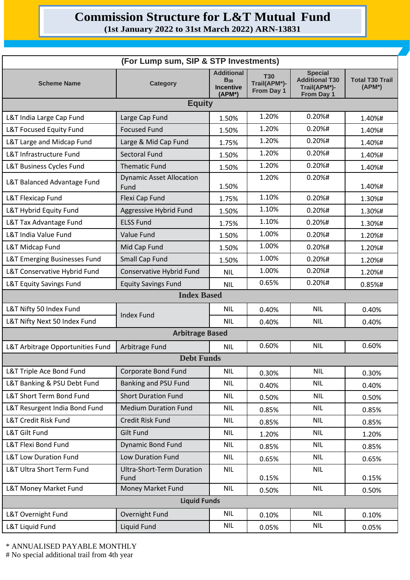## **Commission Structure for L&T Mutual Fund**

**(1st January 2022 to 31st March 2022) ARN-13831**

| (For Lump sum, SIP & STP Investments)   |                                          |                                                                              |                                          |                                                                       |                                     |
|-----------------------------------------|------------------------------------------|------------------------------------------------------------------------------|------------------------------------------|-----------------------------------------------------------------------|-------------------------------------|
| <b>Scheme Name</b>                      | <b>Category</b>                          | <b>Additional</b><br><b>B</b> <sub>30</sub><br><b>Incentive</b><br>$(APM^*)$ | <b>T30</b><br>Trail(APM*)-<br>From Day 1 | <b>Special</b><br><b>Additional T30</b><br>Trail(APM*)-<br>From Day 1 | <b>Total T30 Trail</b><br>$(APM^*)$ |
| <b>Equity</b>                           |                                          |                                                                              |                                          |                                                                       |                                     |
| L&T India Large Cap Fund                | Large Cap Fund                           | 1.50%                                                                        | 1.20%                                    | $0.20%$ #                                                             | 1.40%#                              |
| L&T Focused Equity Fund                 | <b>Focused Fund</b>                      | 1.50%                                                                        | 1.20%                                    | 0.20%#                                                                | 1.40%#                              |
| L&T Large and Midcap Fund               | Large & Mid Cap Fund                     | 1.75%                                                                        | 1.20%                                    | 0.20%#                                                                | 1.40%#                              |
| L&T Infrastructure Fund                 | <b>Sectoral Fund</b>                     | 1.50%                                                                        | 1.20%                                    | 0.20%#                                                                | 1.40%#                              |
| L&T Business Cycles Fund                | <b>Thematic Fund</b>                     | 1.50%                                                                        | 1.20%                                    | 0.20%#                                                                | 1.40%#                              |
| L&T Balanced Advantage Fund             | <b>Dynamic Asset Allocation</b><br>Fund  | 1.50%                                                                        | 1.20%                                    | 0.20%#                                                                | 1.40%#                              |
| <b>L&amp;T Flexicap Fund</b>            | Flexi Cap Fund                           | 1.75%                                                                        | 1.10%                                    | 0.20%#                                                                | 1.30%#                              |
| L&T Hybrid Equity Fund                  | Aggressive Hybrid Fund                   | 1.50%                                                                        | 1.10%                                    | 0.20%#                                                                | 1.30%#                              |
| L&T Tax Advantage Fund                  | <b>ELSS Fund</b>                         | 1.75%                                                                        | 1.10%                                    | 0.20%#                                                                | 1.30%#                              |
| <b>L&amp;T India Value Fund</b>         | Value Fund                               | 1.50%                                                                        | 1.00%                                    | 0.20%#                                                                | 1.20%#                              |
| L&T Midcap Fund                         | Mid Cap Fund                             | 1.50%                                                                        | 1.00%                                    | 0.20%#                                                                | 1.20%#                              |
| <b>L&amp;T Emerging Businesses Fund</b> | Small Cap Fund                           | 1.50%                                                                        | 1.00%                                    | 0.20%#                                                                | 1.20%#                              |
| L&T Conservative Hybrid Fund            | Conservative Hybrid Fund                 | <b>NIL</b>                                                                   | 1.00%                                    | 0.20%#                                                                | 1.20%#                              |
| <b>L&amp;T Equity Savings Fund</b>      | <b>Equity Savings Fund</b>               | <b>NIL</b>                                                                   | 0.65%                                    | 0.20%#                                                                | 0.85%#                              |
| <b>Index Based</b>                      |                                          |                                                                              |                                          |                                                                       |                                     |
| L&T Nifty 50 Index Fund                 | <b>Index Fund</b>                        | <b>NIL</b>                                                                   | 0.40%                                    | <b>NIL</b>                                                            | 0.40%                               |
| L&T Nifty Next 50 Index Fund            |                                          | <b>NIL</b>                                                                   | 0.40%                                    | <b>NIL</b>                                                            | 0.40%                               |
| <b>Arbitrage Based</b>                  |                                          |                                                                              |                                          |                                                                       |                                     |
| L&T Arbitrage Opportunities Fund        | Arbitrage Fund                           | <b>NIL</b>                                                                   | 0.60%                                    | <b>NIL</b>                                                            | 0.60%                               |
| <b>Debt Funds</b>                       |                                          |                                                                              |                                          |                                                                       |                                     |
| L&T Triple Ace Bond Fund                | Corporate Bond Fund                      | <b>NIL</b>                                                                   | 0.30%                                    | <b>NIL</b>                                                            | 0.30%                               |
| L&T Banking & PSU Debt Fund             | Banking and PSU Fund                     | <b>NIL</b>                                                                   | 0.40%                                    | <b>NIL</b>                                                            | 0.40%                               |
| L&T Short Term Bond Fund                | <b>Short Duration Fund</b>               | <b>NIL</b>                                                                   | 0.50%                                    | <b>NIL</b>                                                            | 0.50%                               |
| L&T Resurgent India Bond Fund           | <b>Medium Duration Fund</b>              | <b>NIL</b>                                                                   | 0.85%                                    | <b>NIL</b>                                                            | 0.85%                               |
| L&T Credit Risk Fund                    | Credit Risk Fund                         | <b>NIL</b>                                                                   | 0.85%                                    | <b>NIL</b>                                                            | 0.85%                               |
| L&T Gilt Fund                           | <b>Gilt Fund</b>                         | <b>NIL</b>                                                                   | 1.20%                                    | <b>NIL</b>                                                            | 1.20%                               |
| L&T Flexi Bond Fund                     | <b>Dynamic Bond Fund</b>                 | <b>NIL</b>                                                                   | 0.85%                                    | <b>NIL</b>                                                            | 0.85%                               |
| <b>L&amp;T Low Duration Fund</b>        | Low Duration Fund                        | <b>NIL</b>                                                                   | 0.65%                                    | <b>NIL</b>                                                            | 0.65%                               |
| L&T Ultra Short Term Fund               | <b>Ultra-Short-Term Duration</b><br>Fund | <b>NIL</b>                                                                   | 0.15%                                    | <b>NIL</b>                                                            | 0.15%                               |
| L&T Money Market Fund                   | Money Market Fund                        | <b>NIL</b>                                                                   | 0.50%                                    | <b>NIL</b>                                                            | 0.50%                               |
| <b>Liquid Funds</b>                     |                                          |                                                                              |                                          |                                                                       |                                     |
| L&T Overnight Fund                      | Overnight Fund                           | <b>NIL</b>                                                                   | 0.10%                                    | <b>NIL</b>                                                            | 0.10%                               |
| <b>L&amp;T Liquid Fund</b>              | <b>Liquid Fund</b>                       | <b>NIL</b>                                                                   | 0.05%                                    | <b>NIL</b>                                                            | 0.05%                               |

\* ANNUALISED PAYABLE MONTHLY

# No special additional trail from 4th year